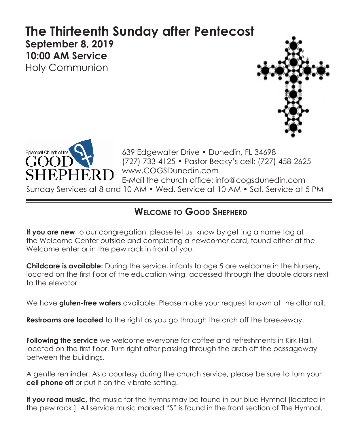# **The Thirteenth Sunday after Pentecost September 8, 2019 10:00 AM Service**  Holy Communion





639 Edgewater Drive • Dunedin, FL 34698 (727) 733-4125 • Pastor Becky's cell: (727) 458-2625 www.COGSDunedin.com E-Mail the church office: info@cogsdunedin.com

Sunday Services at 8 and 10 AM • Wed. Service at 10 AM • Sat. Service at 5 PM

## **Welcome to Good Shepherd**

**If you are new** to our congregation, please let us know by getting a name tag at the Welcome Center outside and completing a newcomer card, found either at the Welcome enter or in the pew rack in front of you.

**Childcare is available:** During the service, infants to age 5 are welcome in the Nursery, located on the first floor of the education wing, accessed through the double doors next to the elevator.

We have **gluten-free wafers** available: Please make your request known at the altar rail.

**Restrooms are located** to the right as you go through the arch off the breezeway.

**Following the service** we welcome everyone for coffee and refreshments in Kirk Hall, located on the first floor. Turn right after passing through the arch off the passageway between the buildings.

A gentle reminder: As a courtesy during the church service, please be sure to turn your **cell phone off** or put it on the vibrate setting.

**If you read music,** the music for the hymns may be found in our blue Hymnal [located in the pew rack.] All service music marked "S" is found in the front section of The Hymnal.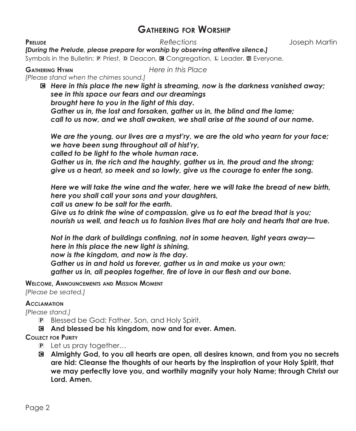## **Gathering for Worship**

**Prelude** *Reflections* Joseph Martin

#### *[During the Prelude, please prepare for worship by observing attentive silence.]*

Symbols in the Bulletin: **P** Priest, **D** Deacon, **G** Congregation, L Leader, **M** Everyone.

**Gathering Hymn** *Here in this Place*

*[Please stand when the chimes sound.]*

C *Here in this place the new light is streaming, now is the darkness vanished away; see in this space our fears and our dreamings brought here to you in the light of this day. Gather us in, the lost and forsaken, gather us in, the blind and the lame; call to us now, and we shall awaken, we shall arise at the sound of our name.*

*We are the young, our lives are a myst'ry, we are the old who yearn for your face; we have been sung throughout all of hist'ry,* 

*called to be light to the whole human race.*

*Gather us in, the rich and the haughty, gather us in, the proud and the strong; give us a heart, so meek and so lowly, give us the courage to enter the song.*

*Here we will take the wine and the water, here we will take the bread of new birth, here you shall call your sons and your daughters,* 

*call us anew to be salt for the earth.*

*Give us to drink the wine of compassion, give us to eat the bread that is you; nourish us well, and teach us to fashion lives that are holy and hearts that are true.*

*Not in the dark of buildings confining, not in some heaven, light years away here in this place the new light is shining,* 

*now is the kingdom, and now is the day.*

*Gather us in and hold us forever, gather us in and make us your own; gather us in, all peoples together, fire of love in our flesh and our bone.*

**Welcome, Announcements and Mission Moment**

*[Please be seated.]*

#### **Acclamation**

*[Please stand.]*

P Blessed be God: Father, Son, and Holy Spirit.

C **And blessed be his kingdom, now and for ever. Amen.**

#### **Collect for Purity**

- P Let us pray together…
- C **Almighty God, to you all hearts are open, all desires known, and from you no secrets are hid: Cleanse the thoughts of our hearts by the inspiration of your Holy Spirit, that we may perfectly love you, and worthily magnify your holy Name; through Christ our Lord. Amen.**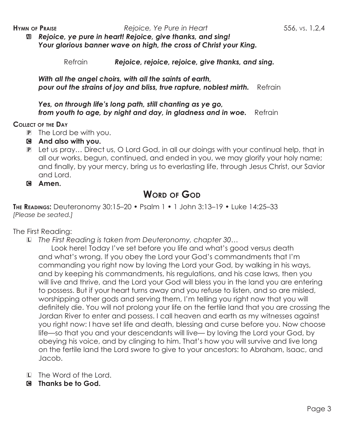**Hymn of Praise** *Rejoice, Ye Pure in Heart* 556, vs. 1,2,4

a *Rejoice, ye pure in heart! Rejoice, give thanks, and sing! Your glorious banner wave on high, the cross of Christ your King.*

Refrain *Rejoice, rejoice, rejoice, give thanks, and sing.*

*With all the angel choirs, with all the saints of earth, pour out the strains of joy and bliss, true rapture, noblest mirth.* Refrain

*Yes, on through life's long path, still chanting as ye go,* from youth to age, by night and day, in gladness and in woe. Refrain

**Collect of the Day** 

- P The Lord be with you.
- C **And also with you.**
- P Let us pray… Direct us, O Lord God, in all our doings with your continual help, that in all our works, begun, continued, and ended in you, we may glorify your holy name; and finally, by your mercy, bring us to everlasting life, through Jesus Christ, our Savior and Lord.
- C **Amen.**

## **WORD OF GOD**

**The Readings:** Deuteronomy 30:15–20 • Psalm 1 • 1 John 3:13–19 • Luke 14:25–33 *[Please be seated.]*

The First Reading:

L *The First Reading is taken from Deuteronomy, chapter 30…*

 Look here! Today I've set before you life and what's good versus death and what's wrong. If you obey the Lord your God's commandments that I'm commanding you right now by loving the Lord your God, by walking in his ways, and by keeping his commandments, his regulations, and his case laws, then you will live and thrive, and the Lord your God will bless you in the land you are entering to possess. But if your heart turns away and you refuse to listen, and so are misled, worshipping other gods and serving them, I'm telling you right now that you will definitely die. You will not prolong your life on the fertile land that you are crossing the Jordan River to enter and possess. I call heaven and earth as my witnesses against you right now: I have set life and death, blessing and curse before you. Now choose life—so that you and your descendants will live— by loving the Lord your God, by obeying his voice, and by clinging to him. That's how you will survive and live long on the fertile land the Lord swore to give to your ancestors: to Abraham, Isaac, and Jacob.

- L The Word of the Lord.
- C **Thanks be to God.**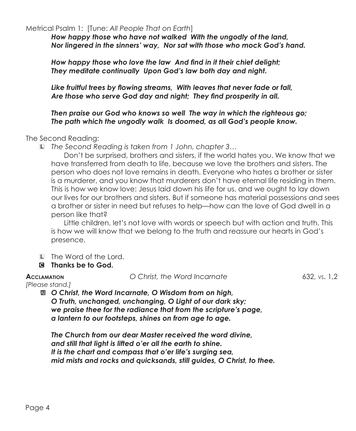Metrical Psalm 1: [Tune: *All People That on Earth*]

*How happy those who have not walked With the ungodly of the land, Nor lingered in the sinners' way, Nor sat with those who mock God's hand.*

*How happy those who love the law And find in it their chief delight; They meditate continually Upon God's law both day and night.*

*Like fruitful trees by flowing streams, With leaves that never fade or fall, Are those who serve God day and night; They find prosperity in all.*

*Then praise our God who knows so well The way in which the righteous go; The path which the ungodly walk Is doomed, as all God's people know.*

The Second Reading:

L *The Second Reading is taken from 1 John, chapter 3…*

 Don't be surprised, brothers and sisters, if the world hates you. We know that we have transferred from death to life, because we love the brothers and sisters. The person who does not love remains in death. Everyone who hates a brother or sister is a murderer, and you know that murderers don't have eternal life residing in them. This is how we know love: Jesus laid down his life for us, and we ought to lay down our lives for our brothers and sisters. But if someone has material possessions and sees a brother or sister in need but refuses to help—how can the love of God dwell in a person like that?

Little children, let's not love with words or speech but with action and truth. This is how we will know that we belong to the truth and reassure our hearts in God's presence.

- L The Word of the Lord.
- C **Thanks be to God.**

**Acclamation** *O Christ, the Word Incarnate* 632, vs. 1,2

*[Please stand.]*

a *O Christ, the Word Incarnate, O Wisdom from on high, O Truth, unchanged, unchanging, O Light of our dark sky; we praise thee for the radiance that from the scripture's page, a lantern to our footsteps, shines on from age to age.*

*The Church from our dear Master received the word divine, and still that light is lifted o'er all the earth to shine. It is the chart and compass that o'er life's surging sea, mid mists and rocks and quicksands, still guides, O Christ, to thee.*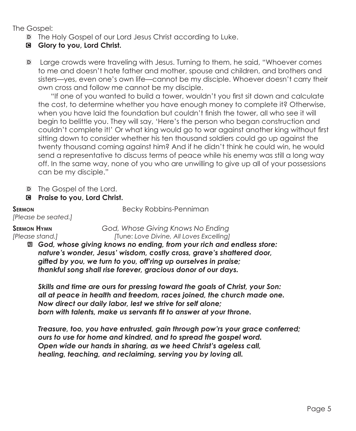The Gospel:

- D The Holy Gospel of our Lord Jesus Christ according to Luke.
- C **Glory to you, Lord Christ.**
- D Large crowds were traveling with Jesus. Turning to them, he said, "Whoever comes to me and doesn't hate father and mother, spouse and children, and brothers and sisters—yes, even one's own life—cannot be my disciple. Whoever doesn't carry their own cross and follow me cannot be my disciple.

"If one of you wanted to build a tower, wouldn't you first sit down and calculate the cost, to determine whether you have enough money to complete it? Otherwise, when you have laid the foundation but couldn't finish the tower, all who see it will begin to belittle you. They will say, 'Here's the person who began construction and couldn't complete it!' Or what king would go to war against another king without first sitting down to consider whether his ten thousand soldiers could go up against the twenty thousand coming against him? And if he didn't think he could win, he would send a representative to discuss terms of peace while his enemy was still a long way off. In the same way, none of you who are unwilling to give up all of your possessions can be my disciple."

- D The Gospel of the Lord.
- C **Praise to you, Lord Christ.**

**SERMON** Becky Robbins-Penniman

*[Please be seated.]*

**Sermon Hymn** *God, Whose Giving Knows No Ending [Please stand.] [*Tune: *Love Divine, All Loves Excelling]*

a *God, whose giving knows no ending, from your rich and endless store: nature's wonder, Jesus' wisdom, costly cross, grave's shattered door, gifted by you, we turn to you, off'ring up ourselves in praise; thankful song shall rise forever, gracious donor of our days.*

*Skills and time are ours for pressing toward the goals of Christ, your Son: all at peace in health and freedom, races joined, the church made one. Now direct our daily labor, lest we strive for self alone; born with talents, make us servants fit to answer at your throne.*

*Treasure, too, you have entrusted, gain through pow'rs your grace conferred; ours to use for home and kindred, and to spread the gospel word. Open wide our hands in sharing, as we heed Christ's ageless call, healing, teaching, and reclaiming, serving you by loving all.*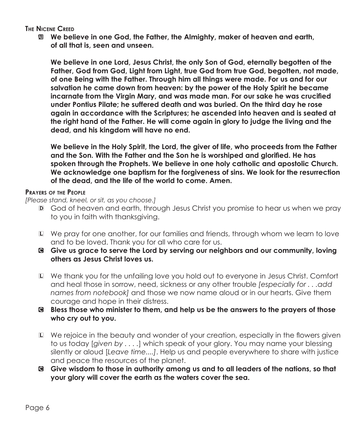**The Nicene Creed**

a **We believe in one God, the Father, the Almighty, maker of heaven and earth, of all that is, seen and unseen.**

 **We believe in one Lord, Jesus Christ, the only Son of God, eternally begotten of the Father, God from God, Light from Light, true God from true God, begotten, not made, of one Being with the Father. Through him all things were made. For us and for our salvation he came down from heaven: by the power of the Holy Spirit he became incarnate from the Virgin Mary, and was made man. For our sake he was crucified under Pontius Pilate; he suffered death and was buried. On the third day he rose again in accordance with the Scriptures; he ascended into heaven and is seated at the right hand of the Father. He will come again in glory to judge the living and the dead, and his kingdom will have no end.**

 **We believe in the Holy Spirit, the Lord, the giver of life, who proceeds from the Father and the Son. With the Father and the Son he is worshiped and glorified. He has spoken through the Prophets. We believe in one holy catholic and apostolic Church. We acknowledge one baptism for the forgiveness of sins. We look for the resurrection of the dead, and the life of the world to come. Amen.**

#### **Prayers of the People**

*[Please stand, kneel, or sit, as you choose.]*

- D God of heaven and earth, through Jesus Christ you promise to hear us when we pray to you in faith with thanksgiving.
- L We pray for one another, for our families and friends, through whom we learn to love and to be loved. Thank you for all who care for us.
- C **Give us grace to serve the Lord by serving our neighbors and our community, loving others as Jesus Christ loves us.**
- L We thank you for the unfailing love you hold out to everyone in Jesus Christ. Comfort and heal those in sorrow, need, sickness or any other trouble *[especially for . . .add names from notebook]* and those we now name aloud or in our hearts. Give them courage and hope in their distress.
- C **Bless those who minister to them, and help us be the answers to the prayers of those who cry out to you.**
- L We rejoice in the beauty and wonder of your creation, especially in the flowers given to us today [*given by . . . .*] which speak of your glory. You may name your blessing silently or aloud [*Leave time....]*. Help us and people everywhere to share with justice and peace the resources of the planet.
- C **Give wisdom to those in authority among us and to all leaders of the nations, so that your glory will cover the earth as the waters cover the sea.**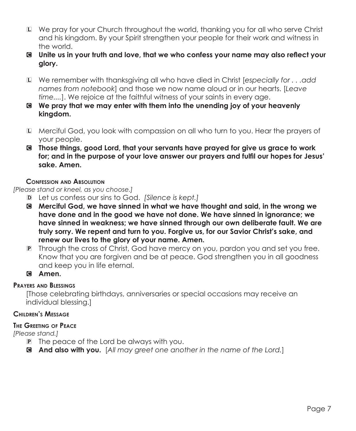- L We pray for your Church throughout the world, thanking you for all who serve Christ and his kingdom. By your Spirit strengthen your people for their work and witness in the world.
- C **Unite us in your truth and love, that we who confess your name may also reflect your glory.**
- L We remember with thanksgiving all who have died in Christ [*especially for . . .add names from notebook*] and those we now name aloud or in our hearts. [*Leave time....*]. We rejoice at the faithful witness of your saints in every age.
- C **We pray that we may enter with them into the unending joy of your heavenly kingdom.**
- L Merciful God, you look with compassion on all who turn to you. Hear the prayers of your people.
- C **Those things, good Lord, that your servants have prayed for give us grace to work for; and in the purpose of your love answer our prayers and fulfil our hopes for Jesus' sake. Amen.**

### **Confession and Absolution**

*[Please stand or kneel, as you choose.]*

- D Let us confess our sins to God. *[Silence is kept.]*
- C **Merciful God, we have sinned in what we have thought and said, in the wrong we have done and in the good we have not done. We have sinned in ignorance; we have sinned in weakness; we have sinned through our own deliberate fault. We are truly sorry. We repent and turn to you. Forgive us, for our Savior Christ's sake, and renew our lives to the glory of your name. Amen.**
- P Through the cross of Christ, God have mercy on you, pardon you and set you free. Know that you are forgiven and be at peace. God strengthen you in all goodness and keep you in life eternal.

### C **Amen.**

### **Prayers and Blessings**

[Those celebrating birthdays, anniversaries or special occasions may receive an individual blessing.]

### **Children's Message**

#### **The Greeting of Peace**

*[Please stand.]*

- P The peace of the Lord be always with you.
- C **And also with you.** [*All may greet one another in the name of the Lord.*]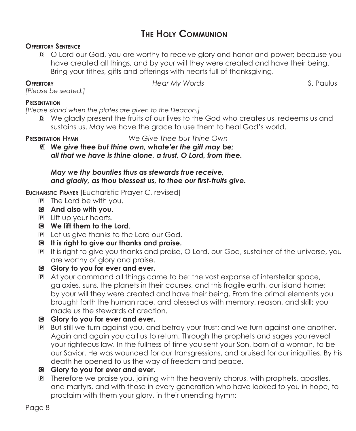# **The Holy Communion**

#### **Offertory Sentence**

D O Lord our God, you are worthy to receive glory and honor and power; because you have created all things, and by your will they were created and have their being. Bring your tithes, gifts and offerings with hearts full of thanksgiving.

**Offertory** *Hear My Words* S. Paulus

*[Please be seated.]*

#### **Presentation**

*[Please stand when the plates are given to the Deacon.]*

D We gladly present the fruits of our lives to the God who creates us, redeems us and sustains us. May we have the grace to use them to heal God's world.

**Presentation Hymn** *We Give Thee but Thine Own*

a *We give thee but thine own, whate'er the gift may be;* 

*all that we have is thine alone, a trust, O Lord, from thee.*

#### *May we thy bounties thus as stewards true receive, and gladly, as thou blessest us, to thee our first-fruits give.*

**Eucharistic Prayer** [Eucharistic Prayer C, revised]

- P The Lord be with you.
- C **And also with you**.
- P Lift up your hearts.
- C **We lift them to the Lord**.
- P Let us give thanks to the Lord our God.
- C **It is right to give our thanks and praise.**
- P It is right to give you thanks and praise, O Lord, our God, sustainer of the universe, you are worthy of glory and praise.
- G Glory to you for ever and ever.
- P At your command all things came to be: the vast expanse of interstellar space, galaxies, suns, the planets in their courses, and this fragile earth, our island home; by your will they were created and have their being. From the primal elements you brought forth the human race, and blessed us with memory, reason, and skill; you made us the stewards of creation.
- C **Glory to you for ever and ever.**
- P But still we turn against you, and betray your trust; and we turn against one another. Again and again you call us to return. Through the prophets and sages you reveal your righteous law. In the fullness of time you sent your Son, born of a woman, to be our Savior. He was wounded for our transgressions, and bruised for our iniquities. By his death he opened to us the way of freedom and peace.
- C **Glory to you for ever and ever.**
- P Therefore we praise you, joining with the heavenly chorus, with prophets, apostles, and martyrs, and with those in every generation who have looked to you in hope, to proclaim with them your glory, in their unending hymn: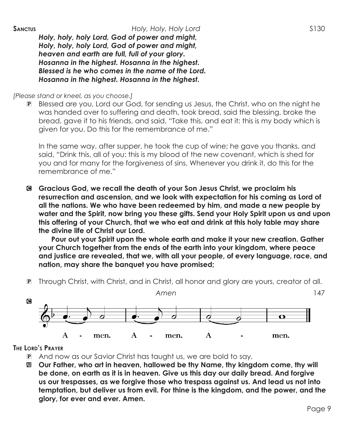*Holy, holy, holy Lord, God of power and might, Holy, holy, holy Lord, God of power and might, heaven and earth are full, full of your glory. Hosanna in the highest. Hosanna in the highest. Blessed is he who comes in the name of the Lord. Hosanna in the highest. Hosanna in the highest.*

*[Please stand or kneel, as you choose.]*

P Blessed are you, Lord our God, for sending us Jesus, the Christ, who on the night he was handed over to suffering and death, took bread, said the blessing, broke the bread, gave it to his friends, and said, "Take this, and eat it: this is my body which is given for you. Do this for the remembrance of me."

In the same way, after supper, he took the cup of wine; he gave you thanks, and said, "Drink this, all of you: this is my blood of the new covenant, which is shed for you and for many for the forgiveness of sins. Whenever you drink it, do this for the remembrance of me."

C **Gracious God, we recall the death of your Son Jesus Christ, we proclaim his resurrection and ascension, and we look with expectation for his coming as Lord of all the nations. We who have been redeemed by him, and made a new people by water and the Spirit, now bring you these gifts. Send your Holy Spirit upon us and upon this offering of your Church, that we who eat and drink at this holy table may share the divine life of Christ our Lord.**

 **Pour out your Spirit upon the whole earth and make it your new creation. Gather your Church together from the ends of the earth into your kingdom, where peace and justice are revealed, that we, with all your people, of every language, race, and nation, may share the banquet you have promised;**

P Through Christ, with Christ, and in Christ, all honor and glory are yours, creator of all.



**The Lord's Prayer**

- P And now as our Savior Christ has taught us, we are bold to say,
- $\Box$  Our Father, who art in heaven, hallowed be thy Name, thy kingdom come, thy will **be done, on earth as it is in heaven. Give us this day our daily bread. And forgive us our trespasses, as we forgive those who trespass against us. And lead us not into temptation, but deliver us from evil. For thine is the kingdom, and the power, and the glory, for ever and ever. Amen.**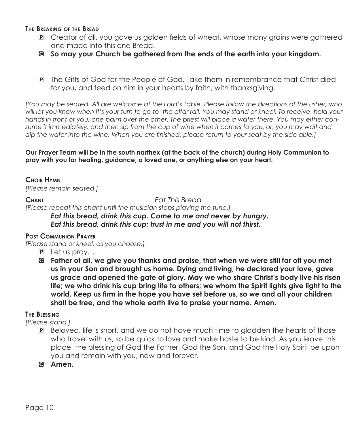#### **The Breaking of the Bread**

- P Creator of all, you gave us golden fields of wheat, whose many grains were gathered and made into this one Bread.
- C **So may your Church be gathered from the ends of the earth into your kingdom.**
- P The Gifts of God for the People of God. Take them in remembrance that Christ died for you, and feed on him in your hearts by faith, with thanksgiving.

*[You may be seated. All are welcome at the Lord's Table. Please follow the directions of the usher, who will let you know when it's your turn to go to the altar rail. You may stand or kneel. To receive, hold your hands in front of you, one palm over the other. The priest will place a wafer there. You may either consume it immediately, and then sip from the cup of wine when it comes to you, or, you may wait and dip the wafer into the wine. When you are finished, please return to your seat by the side aisle.]*

**Our Prayer Team will be in the south narthex (at the back of the church) during Holy Communion to pray with you for healing, guidance, a loved one, or anything else on your heart.** 

#### **Choir Hymn**

*[Please remain seated.]*

**Chant** *Eat This Bread*

*[Please repeat this chant until the musician stops playing the tune.]*

*Eat this bread, drink this cup. Come to me and never by hungry. Eat this bread, drink this cup; trust in me and you will not thirst.* 

#### **Post Communion Prayer**

*[Please stand or kneel, as you choose.]*

- P Let us pray…
- C **Father of all, we give you thanks and praise, that when we were still far off you met us in your Son and brought us home. Dying and living, he declared your love, gave us grace and opened the gate of glory. May we who share Christ's body live his risen life; we who drink his cup bring life to others; we whom the Spirit lights give light to the world. Keep us firm in the hope you have set before us, so we and all your children shall be free, and the whole earth live to praise your name. Amen.**

#### **The Blessing**

*[Please stand.]*

- P Beloved, life is short, and we do not have much time to gladden the hearts of those who travel with us, so be quick to love and make haste to be kind. As you leave this place, the blessing of God the Father, God the Son, and God the Holy Spirit be upon you and remain with you, now and forever.
- C **Amen.**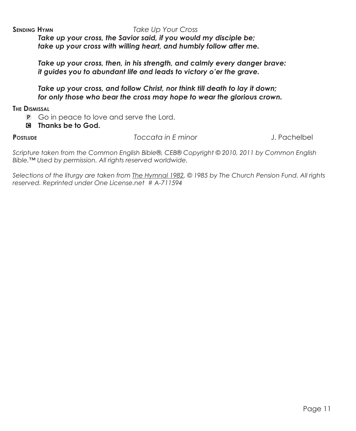**Sending Hymn** *Take Up Your Cross*

*Take up your cross, the Savior said, if you would my disciple be; take up your cross with willing heart, and humbly follow after me.*

*Take up your cross, then, in his strength, and calmly every danger brave: it guides you to abundant life and leads to victory o'er the grave.*

*Take up your cross, and follow Christ, nor think till death to lay it down; for only those who bear the cross may hope to wear the glorious crown.*

**The Dismissal**

- P Go in peace to love and serve the Lord.
- C **Thanks be to God.**

**Postlude** *Toccata in E minor* J. Pachelbel

*Scripture taken from the Common English Bible®, CEB® Copyright © 2010, 2011 by Common English Bible.™ Used by permission. All rights reserved worldwide.*

*Selections of the liturgy are taken from The Hymnal 1982, © 1985 by The Church Pension Fund. All rights reserved. Reprinted under One License.net # A-711594*